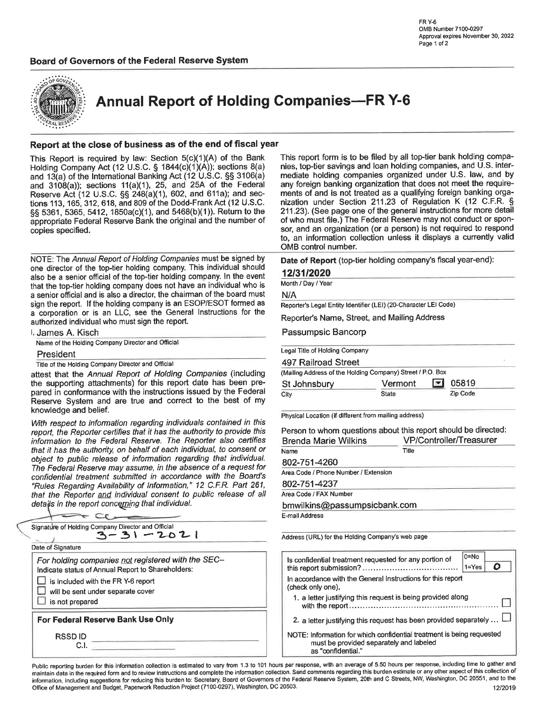#### Board of Governors of the Federal Reserve System



**Annual Report of Holding Companies-FR Y-6** 

#### Report at the close of business as of the end of fiscal year

This Report is required by law: Section 5(c)(1)(A) of the Bank Holding Company Act (12 U.S.C. § 1844(c)(1)(A)); sections 8(a) and 13(a) of the International Banking Act (12 U.S.C. §§ 3106(a) and  $3108(a)$ ; sections  $11(a)(1)$ , 25, and 25A of the Federal Reserve Act (12 U.S.C. §§ 248(a)(1), 602, and 611a); and sections 113, 165, 312, 618, and 809 of the Dodd-Frank Act (12 U.S.C. §§ 5361, 5365, 5412, 1850a(c)(1), and 5468(b)(1)). Return to the appropriate Federal Reserve Bank the original and the number of copies specified.

NOTE: The Annual Report of Holding Companies must be signed by one director of the top-tier holding company. This individual should also be a senior official of the top-tier holding company. In the event that the top-tier holding company does not have an individual who is a senior official and is also a director, the chairman of the board must sign the report. If the holding company is an ESOP/ESOT formed as a corporation or is an LLC, see the General Instructions for the authorized individual who must sign the report.

| l, James A. Kisch                                 |
|---------------------------------------------------|
| Name of the Holding Company Director and Official |

President

Title of the Holding Company Director and Official

attest that the Annual Report of Holding Companies (including the supporting attachments) for this report date has been prepared in conformance with the instructions issued by the Federal Reserve System and are true and correct to the best of my knowledge and belief.

With respect to information regarding individuals contained in this report, the Reporter certifies that it has the authority to provide this information to the Federal Reserve. The Reporter also certifies that it has the authority, on behalf of each individual, to consent or object to public release of information regarding that individual. The Federal Reserve may assume, in the absence of a request for confidential treatment submitted in accordance with the Board's "Rules Regarding Availability of Information," 12 C.F.R. Part 261, that the Reporter and individual consent to public release of all details in the report concerning that individual.

| Signature of Holding Company Director and Official<br>3-31-2021                                                                                                                                       |  |
|-------------------------------------------------------------------------------------------------------------------------------------------------------------------------------------------------------|--|
| Date of Signature                                                                                                                                                                                     |  |
| For holding companies not registered with the SEC-<br>Indicate status of Annual Report to Shareholders:<br>is included with the FR Y-6 report<br>will be sent under separate cover<br>is not prepared |  |
| For Federal Reserve Bank Use Only                                                                                                                                                                     |  |
| <b>RSSDID</b>                                                                                                                                                                                         |  |

This report form is to be filed by all top-tier bank holding companies, top-tier savings and loan holding companies, and U.S. intermediate holding companies organized under U.S. law, and by any foreign banking organization that does not meet the requirements of and is not treated as a qualifying foreign banking organization under Section 211.23 of Regulation K (12 C.F.R. § 211.23). (See page one of the general instructions for more detail of who must file.) The Federal Reserve may not conduct or sponsor, and an organization (or a person) is not required to respond to, an information collection unless it displays a currently valid OMB control number.

Date of Report (top-tier holding company's fiscal year-end):

#### 12/31/2020

Month / Day / Year

N/A

Reporter's Legal Entity Identifier (LEI) (20-Character LEI Code)

Reporter's Name, Street, and Mailing Address

Passumpsic Bancorp

| Legal Title of Holding Company                             |         |                                   |  |
|------------------------------------------------------------|---------|-----------------------------------|--|
| 497 Railroad Street                                        |         |                                   |  |
| (Mailing Address of the Holding Company) Street / P.O. Box |         |                                   |  |
| St Johnsbury                                               | Vermont | 05819<br>$\vert \mathbf{v} \vert$ |  |

| ul uuliiluuui 1 | .<br>_____ | -----    |  |
|-----------------|------------|----------|--|
| City            | State      | Zip Code |  |
|                 |            |          |  |

Physical Location (if different from mailing address)

Person to whom questions about this report should be directed: VP/Controller/Treasurer **Brenda Marie Wilkins** Title Name 802-751-4260

Area Code / Phone Number / Extension

802-751-4237

Area Code / FAX Number

bmwilkins@passumpsicbank.com

E-mail Address

Address (URL) for the Holding Company's web page

|                    | Is confidential treatment requested for any portion of                                                           | $0 = No$<br>$1 = Yes$ |  |
|--------------------|------------------------------------------------------------------------------------------------------------------|-----------------------|--|
| (check only one),  | In accordance with the General Instructions for this report                                                      |                       |  |
|                    | 1. a letter justifying this request is being provided along                                                      |                       |  |
|                    | 2. a letter justifying this request has been provided separately $\Box$                                          |                       |  |
| as "confidential." | NOTE: Information for which confidential treatment is being requested<br>must be provided separately and labeled |                       |  |

Public reporting burden for this information collection is estimated to vary from 1.3 to 101 hours per response, with an average of 5.50 hours per response, including time to gather and maintain data in the required form and to review instructions and complete the information collection. Send comments regarding this burden estimate or any other aspect of this collection of information, including suggestions for reducing this burden to: Secretary, Board of Governors of the Federal Reserve System, 20th and C Streets, NW, Washington, DC 20551, and to the Office of Management and Budget, Paperwork Reduction Project (7100-0297), Washington, DC 20503. 12/2019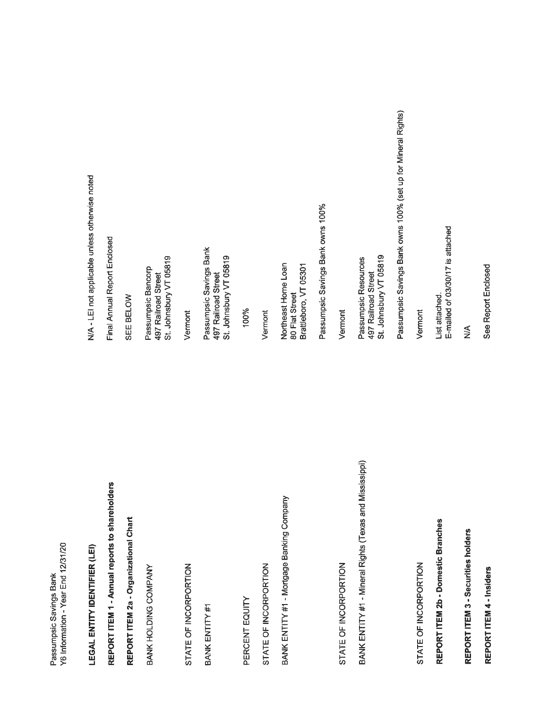Y6 Information - Year End 12/31/20 Passumpsic Savings Bank

**LEGAL ENTITY IDENTIFIER (LEI)** 

REPORT ITEM 1 - Annual reports to shareholders

REPORT ITEM 2a - Organizational Chart

BANK HOLDING COMPANY

STATE OF INCORPORTION

BANK ENTITY #1

PERCENT EQUITY

STATE OF INCORPORTION

BANK ENTITY #1 - Mortgage Banking Company

STATE OF INCORPORTION

BANK ENTITY #1 - Mineral Rights (Texas and Mississippi)

STATE OF INCORPORTION

REPORT ITEM 2b - Domestic Branches

REPORT ITEM 3 - Securities holders

REPORT ITEM 4 - Insiders

N/A - LEI not applicable unless otherwise noted

Final Annual Report Enclosed

SEE BELOW

St. Johnsbury VT 05819 Passumpsic Bancorp<br>497 Railroad Street

Vermont

Passumpsic Savings Bank<br>497 Railroad Street St. Johnsbury VT 05819

100%

Vermont

Northeast Home Loan<br>80 Flat Street Brattleboro, VT 05301 Passumpsic Savings Bank owns 100%

Vermont

St. Johnsbury VT 05819 Passumpsic Resources 497 Railroad Street

Passumpsic Savings Bank owns 100% (set up for Mineral Rights)

Vermont

E-mailed of 03/30/17 is attached List attached.

 $\frac{1}{2}$ 

See Report Enclosed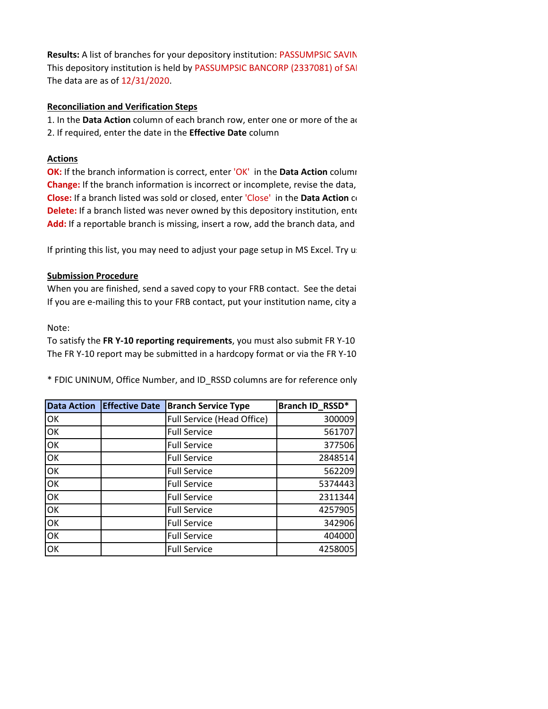**Results:** A list of branches for your depository institution: PASSUMPSIC SAVIN This depository institution is held by PASSUMPSIC BANCORP (2337081) of SAI The data are as of 12/31/2020.

## **Reconciliation and Verification Steps**

1. In the **Data Action** column of each branch row, enter one or more of the ac 2. If required, enter the date in the **Effective Date** column

## **Actions**

**OK:** If the branch information is correct, enter 'OK' in the **Data Action** column **Change:** If the branch information is incorrect or incomplete, revise the data, **Close:** If a branch listed was sold or closed, enter 'Close' in the **Data Action** co **Delete:** If a branch listed was never owned by this depository institution, enter **Add:** If a reportable branch is missing, insert a row, add the branch data, and

If printing this list, you may need to adjust your page setup in MS Excel. Try us

# **Submission Procedure**

When you are finished, send a saved copy to your FRB contact. See the detai If you are e-mailing this to your FRB contact, put your institution name, city a

### Note:

To satisfy the **FR Y-10 reporting requirements**, you must also submit FR Y-10 The FR Y-10 report may be submitted in a hardcopy format or via the FR Y-10

\* FDIC UNINUM, Office Number, and ID\_RSSD columns are for reference only

| <b>Data Action</b> | <b>Effective Date</b> | <b>Branch Service Type</b> | Branch ID_RSSD* |
|--------------------|-----------------------|----------------------------|-----------------|
| OK                 |                       | Full Service (Head Office) | 300009          |
| OK                 |                       | <b>Full Service</b>        | 561707          |
| OK                 |                       | <b>Full Service</b>        | 377506          |
| OK                 |                       | <b>Full Service</b>        | 2848514         |
| OK                 |                       | <b>Full Service</b>        | 562209          |
| OK                 |                       | <b>Full Service</b>        | 5374443         |
| OK                 |                       | <b>Full Service</b>        | 2311344         |
| OK                 |                       | <b>Full Service</b>        | 4257905         |
| OK                 |                       | <b>Full Service</b>        | 342906          |
| OK                 |                       | <b>Full Service</b>        | 404000          |
| OK                 |                       | <b>Full Service</b>        | 4258005         |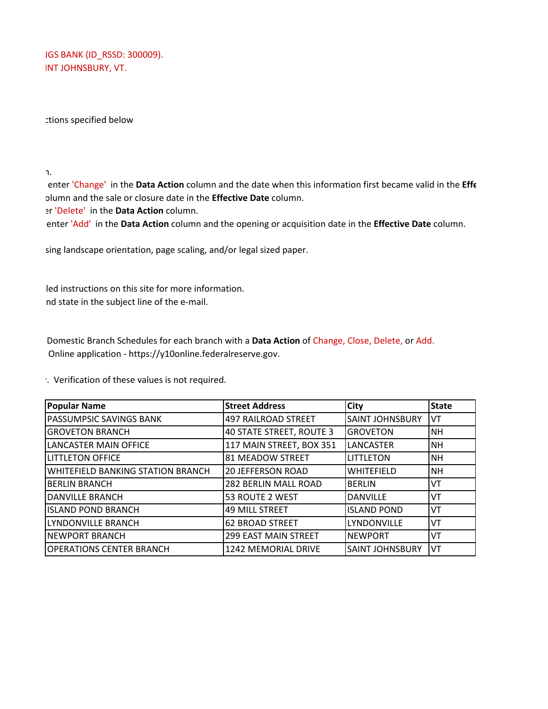IGS BANK (ID RSSD: 300009). INT JOHNSBURY, VT.

ctions specified below

n.

 enter 'Change' in the **Data Action** column and the date when this information first became valid in the **Effe**  olumn and the sale or closure date in the **Effective Date** column.

er 'Delete' in the **Data Action** column.

enter 'Add' in the **Data Action** column and the opening or acquisition date in the **Effective Date** column.

sing landscape orientation, page scaling, and/or legal sized paper.

 led instructions on this site for more information. nd state in the subject line of the e-mail.

 Domestic Branch Schedules for each branch with a **Data Action** of Change, Close, Delete, or Add. Online application - https://y10online.federalreserve.gov.

y. Verification of these values is not required.

| <b>Popular Name</b>               | <b>Street Address</b>       | City                   | <b>State</b> |
|-----------------------------------|-----------------------------|------------------------|--------------|
| PASSUMPSIC SAVINGS BANK           | <b>497 RAILROAD STREET</b>  | <b>SAINT JOHNSBURY</b> | VT           |
| <b>GROVETON BRANCH</b>            | 40 STATE STREET, ROUTE 3    | <b>GROVETON</b>        | <b>NH</b>    |
| <b>LANCASTER MAIN OFFICE</b>      | 117 MAIN STREET, BOX 351    | LANCASTER              | <b>NH</b>    |
| <b>LITTLETON OFFICE</b>           | 81 MEADOW STREET            | <b>LITTLETON</b>       | <b>NH</b>    |
| WHITEFIELD BANKING STATION BRANCH | <b>20 JEFFERSON ROAD</b>    | <b>WHITEFIELD</b>      | <b>NH</b>    |
| <b>BERLIN BRANCH</b>              | 282 BERLIN MALL ROAD        | <b>BERLIN</b>          | VT           |
| <b>DANVILLE BRANCH</b>            | 53 ROUTE 2 WEST             | <b>DANVILLE</b>        | VT           |
| <b>ISLAND POND BRANCH</b>         | <b>49 MILL STREET</b>       | <b>ISLAND POND</b>     | VT           |
| LYNDONVILLE BRANCH                | <b>62 BROAD STREET</b>      | <b>LYNDONVILLE</b>     | VT           |
| <b>NEWPORT BRANCH</b>             | <b>299 EAST MAIN STREET</b> | <b>NEWPORT</b>         | VT           |
| <b>OPERATIONS CENTER BRANCH</b>   | 1242 MEMORIAL DRIVE         | <b>SAINT JOHNSBURY</b> | VT           |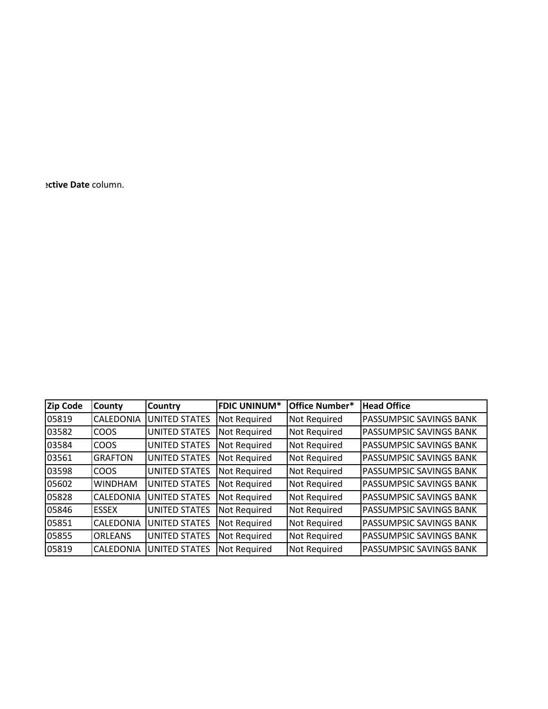**ective Date** column.

| <b>Zip Code</b> | <b>County</b>    | <b>Country</b>       | <b>FDIC UNINUM*</b> | <b>Office Number*</b> | <b>Head Office</b>             |
|-----------------|------------------|----------------------|---------------------|-----------------------|--------------------------------|
| 05819           | <b>CALEDONIA</b> | <b>UNITED STATES</b> | Not Required        | Not Required          | PASSUMPSIC SAVINGS BANK        |
| 03582           | <b>COOS</b>      | <b>UNITED STATES</b> | <b>Not Required</b> | Not Required          | <b>PASSUMPSIC SAVINGS BANK</b> |
| 03584           | <b>COOS</b>      | <b>UNITED STATES</b> | <b>Not Required</b> | Not Required          | <b>PASSUMPSIC SAVINGS BANK</b> |
| 03561           | <b>GRAFTON</b>   | <b>UNITED STATES</b> | Not Required        | Not Required          | PASSUMPSIC SAVINGS BANK        |
| 03598           | <b>COOS</b>      | <b>UNITED STATES</b> | Not Required        | Not Required          | PASSUMPSIC SAVINGS BANK        |
| 05602           | <b>WINDHAM</b>   | <b>UNITED STATES</b> | Not Required        | Not Required          | PASSUMPSIC SAVINGS BANK        |
| 05828           | <b>CALEDONIA</b> | <b>UNITED STATES</b> | <b>Not Required</b> | Not Required          | PASSUMPSIC SAVINGS BANK        |
| 05846           | <b>ESSEX</b>     | <b>UNITED STATES</b> | Not Required        | Not Required          | PASSUMPSIC SAVINGS BANK        |
| 05851           | <b>CALEDONIA</b> | <b>UNITED STATES</b> | Not Required        | Not Required          | PASSUMPSIC SAVINGS BANK        |
| 05855           | <b>ORLEANS</b>   | <b>UNITED STATES</b> | <b>Not Required</b> | Not Required          | <b>PASSUMPSIC SAVINGS BANK</b> |
| 05819           | <b>CALEDONIA</b> | <b>UNITED STATES</b> | <b>Not Required</b> | Not Required          | <b>PASSUMPSIC SAVINGS BANK</b> |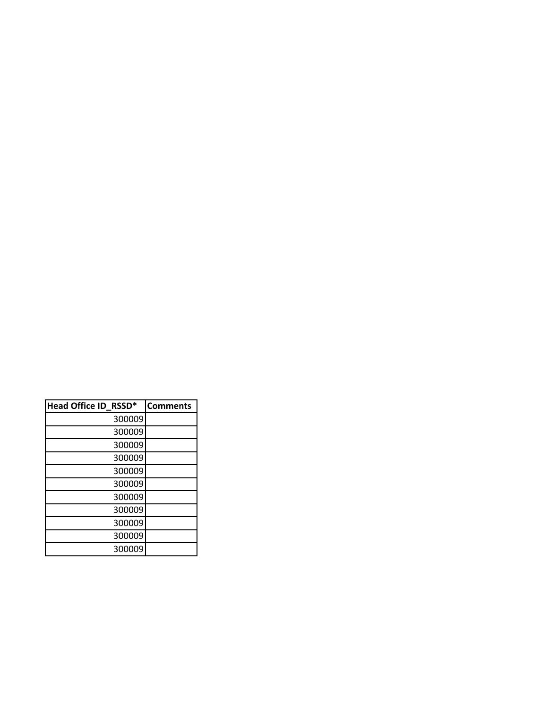| Head Office ID_RSSD* | <b>Comments</b> |
|----------------------|-----------------|
| 300009               |                 |
| 300009               |                 |
| 300009               |                 |
| 300009               |                 |
| 300009               |                 |
| 300009               |                 |
| 300009               |                 |
| 300009               |                 |
| 300009               |                 |
| 300009               |                 |
| 300009               |                 |